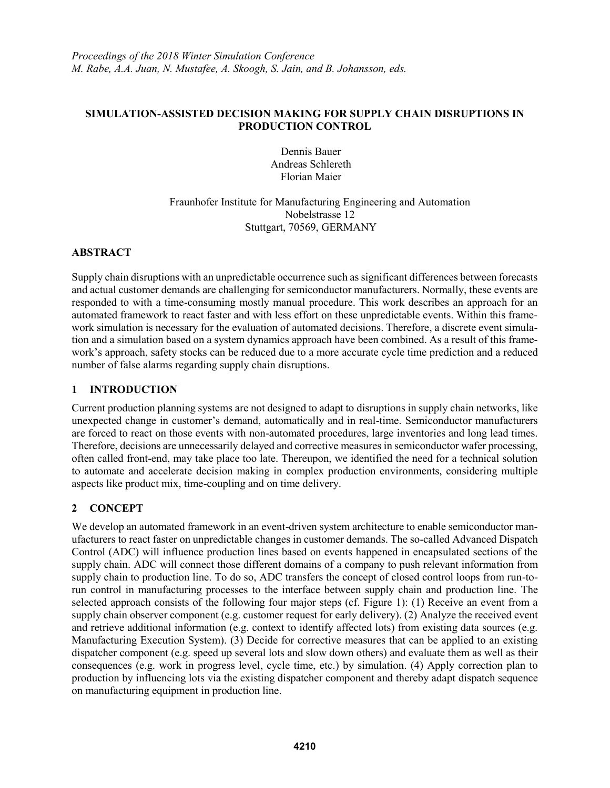#### **SIMULATION-ASSISTED DECISION MAKING FOR SUPPLY CHAIN DISRUPTIONS IN PRODUCTION CONTROL**

Dennis Bauer Andreas Schlereth Florian Maier

# Fraunhofer Institute for Manufacturing Engineering and Automation Nobelstrasse 12 Stuttgart, 70569, GERMANY

#### **ABSTRACT**

Supply chain disruptions with an unpredictable occurrence such as significant differences between forecasts and actual customer demands are challenging for semiconductor manufacturers. Normally, these events are responded to with a time-consuming mostly manual procedure. This work describes an approach for an automated framework to react faster and with less effort on these unpredictable events. Within this framework simulation is necessary for the evaluation of automated decisions. Therefore, a discrete event simulation and a simulation based on a system dynamics approach have been combined. As a result of this framework's approach, safety stocks can be reduced due to a more accurate cycle time prediction and a reduced number of false alarms regarding supply chain disruptions.

# **1 INTRODUCTION**

Current production planning systems are not designed to adapt to disruptions in supply chain networks, like unexpected change in customer's demand, automatically and in real-time. Semiconductor manufacturers are forced to react on those events with non-automated procedures, large inventories and long lead times. Therefore, decisions are unnecessarily delayed and corrective measures in semiconductor wafer processing, often called front-end, may take place too late. Thereupon, we identified the need for a technical solution to automate and accelerate decision making in complex production environments, considering multiple aspects like product mix, time-coupling and on time delivery.

# **2 CONCEPT**

We develop an automated framework in an event-driven system architecture to enable semiconductor manufacturers to react faster on unpredictable changes in customer demands. The so-called Advanced Dispatch Control (ADC) will influence production lines based on events happened in encapsulated sections of the supply chain. ADC will connect those different domains of a company to push relevant information from supply chain to production line. To do so, ADC transfers the concept of closed control loops from run-torun control in manufacturing processes to the interface between supply chain and production line. The selected approach consists of the following four major steps (cf. Figure 1): (1) Receive an event from a supply chain observer component (e.g. customer request for early delivery). (2) Analyze the received event and retrieve additional information (e.g. context to identify affected lots) from existing data sources (e.g. Manufacturing Execution System). (3) Decide for corrective measures that can be applied to an existing dispatcher component (e.g. speed up several lots and slow down others) and evaluate them as well as their consequences (e.g. work in progress level, cycle time, etc.) by simulation. (4) Apply correction plan to production by influencing lots via the existing dispatcher component and thereby adapt dispatch sequence on manufacturing equipment in production line.